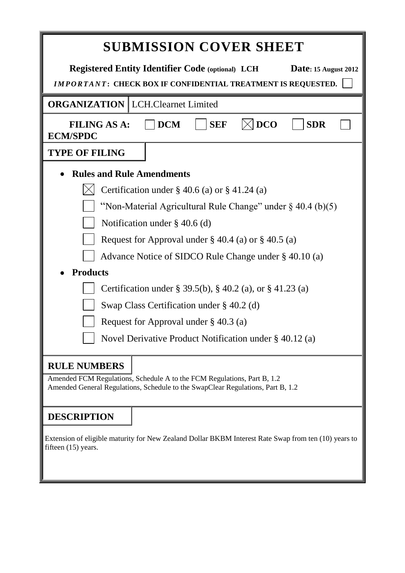| <b>SUBMISSION COVER SHEET</b>                                                                                                                                                     |  |  |  |  |  |  |  |
|-----------------------------------------------------------------------------------------------------------------------------------------------------------------------------------|--|--|--|--|--|--|--|
| <b>Registered Entity Identifier Code (optional) LCH</b><br><b>Date: 15 August 2012</b><br><b>IMPORTANT: CHECK BOX IF CONFIDENTIAL TREATMENT IS REQUESTED.</b>                     |  |  |  |  |  |  |  |
| <b>ORGANIZATION</b>   LCH.Clearnet Limited                                                                                                                                        |  |  |  |  |  |  |  |
| <b>DCO</b><br><b>DCM</b><br><b>SEF</b><br><b>SDR</b><br><b>FILING AS A:</b><br><b>ECM/SPDC</b>                                                                                    |  |  |  |  |  |  |  |
| <b>TYPE OF FILING</b>                                                                                                                                                             |  |  |  |  |  |  |  |
| <b>Rules and Rule Amendments</b>                                                                                                                                                  |  |  |  |  |  |  |  |
| Certification under $\S$ 40.6 (a) or $\S$ 41.24 (a)                                                                                                                               |  |  |  |  |  |  |  |
| "Non-Material Agricultural Rule Change" under $\S$ 40.4 (b)(5)                                                                                                                    |  |  |  |  |  |  |  |
| Notification under $\S$ 40.6 (d)                                                                                                                                                  |  |  |  |  |  |  |  |
| Request for Approval under $\S 40.4$ (a) or $\S 40.5$ (a)                                                                                                                         |  |  |  |  |  |  |  |
| Advance Notice of SIDCO Rule Change under § 40.10 (a)                                                                                                                             |  |  |  |  |  |  |  |
| <b>Products</b>                                                                                                                                                                   |  |  |  |  |  |  |  |
| Certification under § 39.5(b), § 40.2 (a), or § 41.23 (a)                                                                                                                         |  |  |  |  |  |  |  |
| Swap Class Certification under $\S$ 40.2 (d)                                                                                                                                      |  |  |  |  |  |  |  |
| Request for Approval under $\S$ 40.3 (a)                                                                                                                                          |  |  |  |  |  |  |  |
| Novel Derivative Product Notification under § 40.12 (a)                                                                                                                           |  |  |  |  |  |  |  |
| <b>RULE NUMBERS</b><br>Amended FCM Regulations, Schedule A to the FCM Regulations, Part B, 1.2<br>Amended General Regulations, Schedule to the SwapClear Regulations, Part B, 1.2 |  |  |  |  |  |  |  |
| <b>DESCRIPTION</b><br>Extension of eligible maturity for New Zealand Dollar BKBM Interest Rate Swap from ten (10) years to<br>fifteen $(15)$ years.                               |  |  |  |  |  |  |  |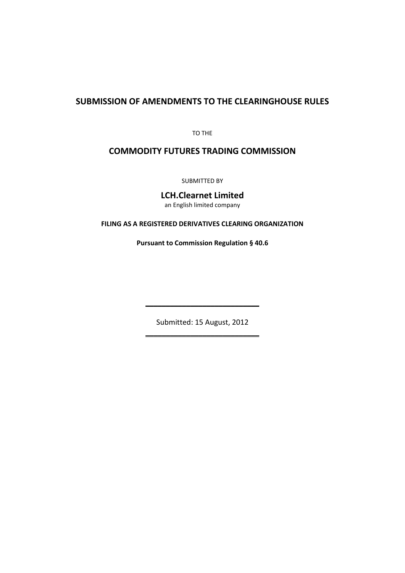# **SUBMISSION OF AMENDMENTS TO THE CLEARINGHOUSE RULES**

TO THE

# **COMMODITY FUTURES TRADING COMMISSION**

SUBMITTED BY

**LCH.Clearnet Limited**

an English limited company

**FILING AS A REGISTERED DERIVATIVES CLEARING ORGANIZATION**

**Pursuant to Commission Regulation § 40.6**

Submitted: 15 August, 2012 \_\_\_\_\_\_\_\_\_\_\_\_\_\_\_\_\_\_\_\_\_\_\_\_\_\_\_\_

\_\_\_\_\_\_\_\_\_\_\_\_\_\_\_\_\_\_\_\_\_\_\_\_\_\_\_\_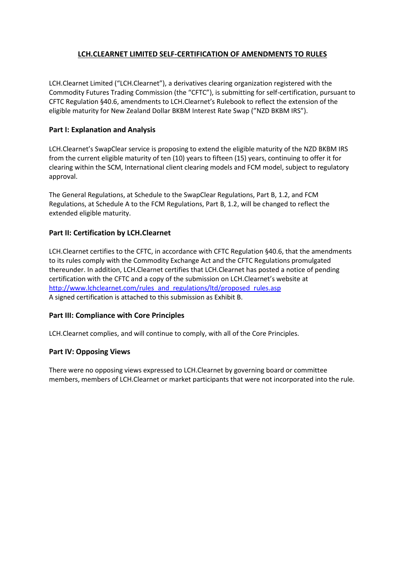# **LCH.CLEARNET LIMITED SELF-CERTIFICATION OF AMENDMENTS TO RULES**

LCH.Clearnet Limited ("LCH.Clearnet"), a derivatives clearing organization registered with the Commodity Futures Trading Commission (the "CFTC"), is submitting for self-certification, pursuant to CFTC Regulation §40.6, amendments to LCH.Clearnet's Rulebook to reflect the extension of the eligible maturity for New Zealand Dollar BKBM Interest Rate Swap ("NZD BKBM IRS").

# **Part I: Explanation and Analysis**

LCH.Clearnet's SwapClear service is proposing to extend the eligible maturity of the NZD BKBM IRS from the current eligible maturity of ten (10) years to fifteen (15) years, continuing to offer it for clearing within the SCM, International client clearing models and FCM model, subject to regulatory approval.

The General Regulations, at Schedule to the SwapClear Regulations, Part B, 1.2, and FCM Regulations, at Schedule A to the FCM Regulations, Part B, 1.2, will be changed to reflect the extended eligible maturity.

# **Part II: Certification by LCH.Clearnet**

LCH.Clearnet certifies to the CFTC, in accordance with CFTC Regulation §40.6, that the amendments to its rules comply with the Commodity Exchange Act and the CFTC Regulations promulgated thereunder. In addition, LCH.Clearnet certifies that LCH.Clearnet has posted a notice of pending certification with the CFTC and a copy of the submission on LCH.Clearnet's website at [http://www.lchclearnet.com/rules\\_and\\_regulations/ltd/proposed\\_rules.asp](http://www.lchclearnet.com/rules_and_regulations/ltd/proposed_rules.asp) A signed certification is attached to this submission as Exhibit B.

### **Part III: Compliance with Core Principles**

LCH.Clearnet complies, and will continue to comply, with all of the Core Principles.

### **Part IV: Opposing Views**

There were no opposing views expressed to LCH.Clearnet by governing board or committee members, members of LCH.Clearnet or market participants that were not incorporated into the rule.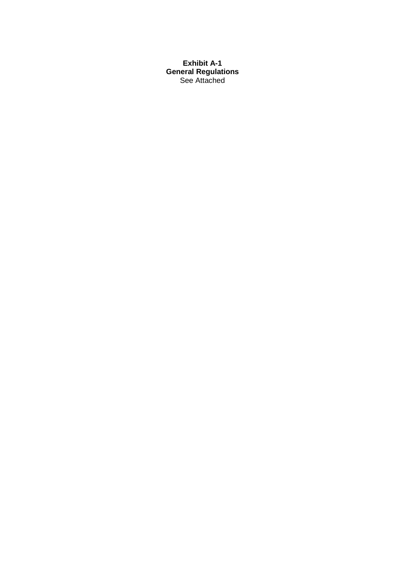**Exhibit A-1 General Regulations** See Attached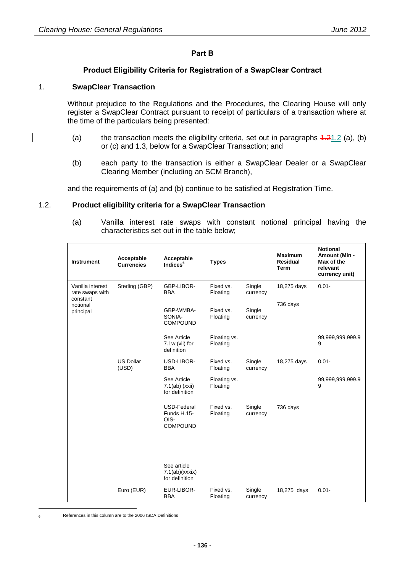### **Part B**

# **Product Eligibility Criteria for Registration of a SwapClear Contract**

### 1. **SwapClear Transaction**

Without prejudice to the Regulations and the Procedures, the Clearing House will only register a SwapClear Contract pursuant to receipt of particulars of a transaction where at the time of the particulars being presented:

- (a) the transaction meets the eligibility criteria, set out in paragraphs  $4.21.2$  (a), (b) or (c) and 1.3, below for a SwapClear Transaction; and
- (b) each party to the transaction is either a SwapClear Dealer or a SwapClear Clearing Member (including an SCM Branch),

and the requirements of (a) and (b) continue to be satisfied at Registration Time.

#### <span id="page-4-0"></span>1.2. **Product eligibility criteria for a SwapClear Transaction**

(a) Vanilla interest rate swaps with constant notional principal having the characteristics set out in the table below;

| <b>Instrument</b>                               | Acceptable<br><b>Currencies</b> | Acceptable<br>Indices <sup>6</sup>                    | <b>Types</b>             |                    | <b>Maximum</b><br><b>Residual</b><br><b>Term</b> | <b>Notional</b><br><b>Amount (Min -</b><br>Max of the<br>relevant<br>currency unit) |
|-------------------------------------------------|---------------------------------|-------------------------------------------------------|--------------------------|--------------------|--------------------------------------------------|-------------------------------------------------------------------------------------|
| Vanilla interest<br>rate swaps with<br>constant | Sterling (GBP)                  | GBP-LIBOR-<br><b>BBA</b>                              | Fixed vs.<br>Floating    | Single<br>currency | 18,275 days                                      | $0.01 -$                                                                            |
| notional<br>principal                           |                                 | GBP-WMBA-<br>SONIA-<br><b>COMPOUND</b>                | Fixed vs.<br>Floating    | Single<br>currency | 736 days                                         |                                                                                     |
|                                                 |                                 | See Article<br>7.1w (vii) for<br>definition           | Floating vs.<br>Floating |                    |                                                  | 99,999,999,999.9<br>9                                                               |
|                                                 | <b>US Dollar</b><br>(USD)       | USD-LIBOR-<br><b>BBA</b>                              | Fixed vs.<br>Floating    | Single<br>currency | 18,275 days                                      | $0.01 -$                                                                            |
|                                                 |                                 | See Article<br>$7.1(ab)$ (xxii)<br>for definition     | Floating vs.<br>Floating |                    |                                                  | 99,999,999,999.9<br>9                                                               |
|                                                 |                                 | USD-Federal<br>Funds H.15-<br>OIS-<br><b>COMPOUND</b> | Fixed vs.<br>Floating    | Single<br>currency | 736 days                                         |                                                                                     |
|                                                 |                                 | See article<br>7.1(ab)(xxxix)<br>for definition       |                          |                    |                                                  |                                                                                     |
|                                                 | Euro (EUR)                      | EUR-LIBOR-<br><b>BBA</b>                              | Fixed vs.<br>Floating    | Single<br>currency | 18,275 days                                      | $0.01 -$                                                                            |

-

<sup>6</sup> References in this column are to the 2006 ISDA Definitions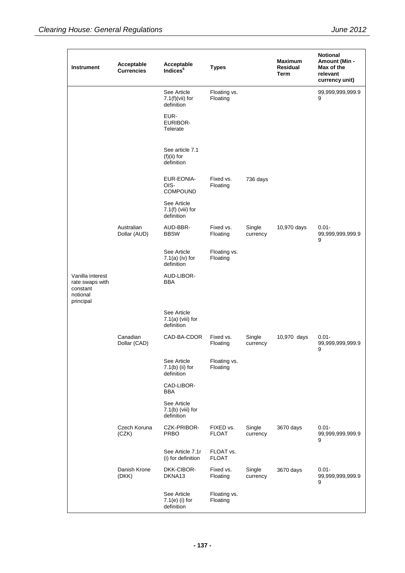| Instrument                                                               | Acceptable<br><b>Currencies</b> | Acceptable<br>Indices <sup>6</sup>               | <b>Types</b>              |                    | <b>Maximum</b><br>Residual<br>Term | <b>Notional</b><br>Amount (Min -<br>Max of the<br>relevant<br>currency unit) |
|--------------------------------------------------------------------------|---------------------------------|--------------------------------------------------|---------------------------|--------------------|------------------------------------|------------------------------------------------------------------------------|
|                                                                          |                                 | See Article<br>$7.1(f)(vii)$ for<br>definition   | Floating vs.<br>Floating  |                    |                                    | 99,999,999,999.9<br>9                                                        |
|                                                                          |                                 | EUR-<br>EURIBOR-<br>Telerate                     |                           |                    |                                    |                                                                              |
|                                                                          |                                 | See article 7.1<br>$(f)(ii)$ for<br>definition   |                           |                    |                                    |                                                                              |
|                                                                          |                                 | EUR-EONIA-<br>OIS-<br><b>COMPOUND</b>            | Fixed vs.<br>Floating     | 736 days           |                                    |                                                                              |
|                                                                          |                                 | See Article<br>$7.1(f)$ (viii) for<br>definition |                           |                    |                                    |                                                                              |
|                                                                          | Australian<br>Dollar (AUD)      | AUD-BBR-<br><b>BBSW</b>                          | Fixed vs.<br>Floating     | Single<br>currency | 10,970 days                        | $0.01 -$<br>99,999,999,999.9<br>9                                            |
|                                                                          |                                 | See Article<br>$7.1(a)$ (iv) for<br>definition   | Floating vs.<br>Floating  |                    |                                    |                                                                              |
| Vanilla interest<br>rate swaps with<br>constant<br>notional<br>principal |                                 | AUD-LIBOR-<br>BBA                                |                           |                    |                                    |                                                                              |
|                                                                          |                                 | See Article<br>$7.1(a)$ (viii) for<br>definition |                           |                    |                                    |                                                                              |
|                                                                          | Canadian<br>Dollar (CAD)        | CAD-BA-CDOR                                      | Fixed vs.<br>Floating     | Single<br>currency | 10,970 days                        | $0.01 -$<br>99,999,999,999.9<br>9                                            |
|                                                                          |                                 | See Article<br>$7.1(b)$ (ii) for<br>definition   | Floating vs.<br>Floating  |                    |                                    |                                                                              |
|                                                                          |                                 | CAD-LIBOR-<br>BBA                                |                           |                    |                                    |                                                                              |
|                                                                          |                                 | See Article<br>$7.1(b)$ (viii) for<br>definition |                           |                    |                                    |                                                                              |
|                                                                          | Czech Koruna<br>(CZK)           | CZK-PRIBOR-<br><b>PRBO</b>                       | FIXED vs.<br><b>FLOAT</b> | Single<br>currency | 3670 days                          | $0.01 -$<br>99,999,999,999.9<br>9                                            |
|                                                                          |                                 | See Article 7.1r<br>(i) for definition           | FLOAT vs.<br><b>FLOAT</b> |                    |                                    |                                                                              |
|                                                                          | Danish Krone<br>(DKK)           | DKK-CIBOR-<br>DKNA13                             | Fixed vs.<br>Floating     | Single<br>currency | 3670 days                          | $0.01 -$<br>99,999,999,999.9<br>9                                            |
|                                                                          |                                 | See Article<br>$7.1(e)$ (i) for<br>definition    | Floating vs.<br>Floating  |                    |                                    |                                                                              |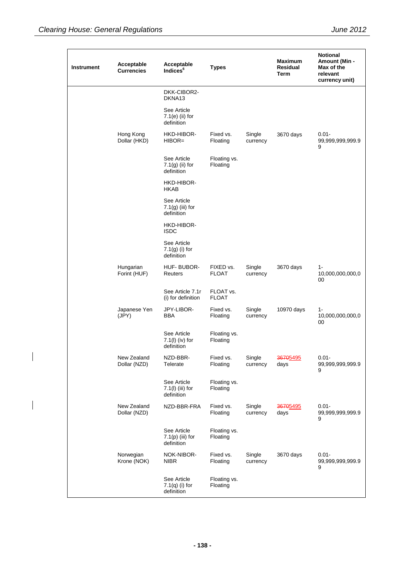$\overline{\phantom{a}}$ 

| Instrument | Acceptable<br><b>Currencies</b> | Acceptable<br>Indices <sup>6</sup>              | <b>Types</b>              |                    | <b>Maximum</b><br>Residual<br>Term | <b>Notional</b><br>Amount (Min -<br>Max of the<br>relevant<br>currency unit) |
|------------|---------------------------------|-------------------------------------------------|---------------------------|--------------------|------------------------------------|------------------------------------------------------------------------------|
|            |                                 | DKK-CIBOR2-<br>DKNA13                           |                           |                    |                                    |                                                                              |
|            |                                 | See Article<br>$7.1(e)$ (ii) for<br>definition  |                           |                    |                                    |                                                                              |
|            | Hong Kong<br>Dollar (HKD)       | HKD-HIBOR-<br>$HIBOR=$                          | Fixed vs.<br>Floating     | Single<br>currency | 3670 days                          | $0.01 -$<br>99,999,999,999.9<br>9                                            |
|            |                                 | See Article<br>$7.1(g)$ (ii) for<br>definition  | Floating vs.<br>Floating  |                    |                                    |                                                                              |
|            |                                 | HKD-HIBOR-<br><b>HKAB</b>                       |                           |                    |                                    |                                                                              |
|            |                                 | See Article<br>$7.1(g)$ (iii) for<br>definition |                           |                    |                                    |                                                                              |
|            |                                 | <b>HKD-HIBOR-</b><br><b>ISDC</b>                |                           |                    |                                    |                                                                              |
|            |                                 | See Article<br>$7.1(g)$ (i) for<br>definition   |                           |                    |                                    |                                                                              |
|            | Hungarian<br>Forint (HUF)       | HUF-BUBOR-<br>Reuters                           | FIXED vs.<br><b>FLOAT</b> | Single<br>currency | 3670 days                          | $1 -$<br>10,000,000,000,0<br>00                                              |
|            |                                 | See Article 7.1r<br>(i) for definition          | FLOAT vs.<br><b>FLOAT</b> |                    |                                    |                                                                              |
|            | Japanese Yen<br>(JPY)           | JPY-LIBOR-<br>BBA                               | Fixed vs.<br>Floating     | Single<br>currency | 10970 days                         | $1 -$<br>10,000,000,000,0<br>00                                              |
|            |                                 | See Article<br>$7.1(l)$ (iv) for<br>definition  | Floating vs.<br>Floating  |                    |                                    |                                                                              |
|            | New Zealand<br>Dollar (NZD)     | NZD-BBR-<br>Telerate                            | Fixed vs.<br>Floating     | Single<br>currency | 36705495<br>days                   | $0.01 -$<br>99,999,999,999.9<br>9                                            |
|            |                                 | See Article<br>7.1(l) (iii) for<br>definition   | Floating vs.<br>Floating  |                    |                                    |                                                                              |
|            | New Zealand<br>Dollar (NZD)     | NZD-BBR-FRA                                     | Fixed vs.<br>Floating     | Single<br>currency | 36705495<br>days                   | $0.01 -$<br>99,999,999,999.9<br>9                                            |
|            |                                 | See Article<br>$7.1(p)$ (iii) for<br>definition | Floating vs.<br>Floating  |                    |                                    |                                                                              |
|            | Norwegian<br>Krone (NOK)        | NOK-NIBOR-<br><b>NIBR</b>                       | Fixed vs.<br>Floating     | Single<br>currency | 3670 days                          | $0.01 -$<br>99,999,999,999.9<br>9                                            |
|            |                                 | See Article<br>$7.1(q)$ (i) for<br>definition   | Floating vs.<br>Floating  |                    |                                    |                                                                              |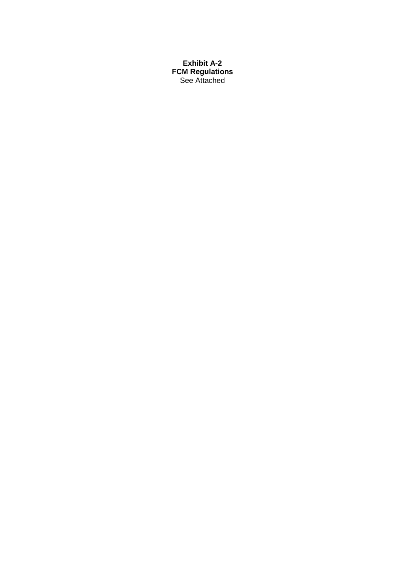**Exhibit A-2 FCM Regulations** See Attached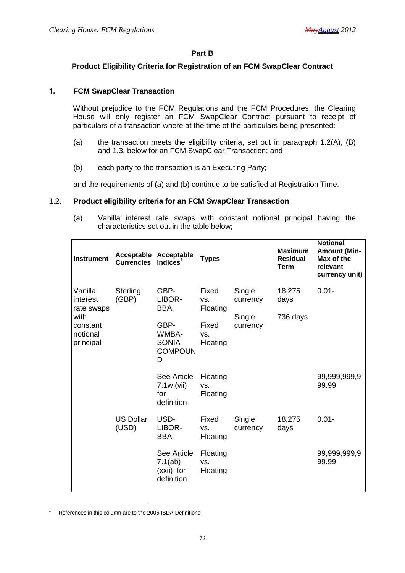#### **Part B**

### **Product Eligibility Criteria for Registration of an FCM SwapClear Contract**

#### **1. FCM SwapClear Transaction**

Without prejudice to the FCM Regulations and the FCM Procedures, the Clearing House will only register an FCM SwapClear Contract pursuant to receipt of particulars of a transaction where at the time of the particulars being presented:

- (a) the transaction meets the eligibility criteria, set out in paragraph 1.2(A), (B) and 1.3, below for an FCM SwapClear Transaction; and
- (b) each party to the transaction is an Executing Party;

and the requirements of (a) and (b) continue to be satisfied at Registration Time.

#### 1.2. **Product eligibility criteria for an FCM SwapClear Transaction**

(a) Vanilla interest rate swaps with constant notional principal having the characteristics set out in the table below;

| <b>Instrument</b>                         | Acceptable Acceptable<br><b>Currencies</b> | Indices $1$                                        | <b>Types</b>                |                    | <b>Maximum</b><br><b>Residual</b><br>Term | <b>Notional</b><br><b>Amount (Min-</b><br>Max of the<br>relevant<br>currency unit) |
|-------------------------------------------|--------------------------------------------|----------------------------------------------------|-----------------------------|--------------------|-------------------------------------------|------------------------------------------------------------------------------------|
| Vanilla<br>interest<br>rate swaps         | Sterling<br>(GBP)                          | GBP-<br>LIBOR-<br><b>BBA</b>                       | Fixed<br>VS.<br>Floating    | Single<br>currency | 18,275<br>days                            | $0.01 -$                                                                           |
| with<br>constant<br>notional<br>principal |                                            | GBP-<br>WMBA-<br>SONIA-<br><b>COMPOUN</b><br>D     | Fixed<br>VS.<br>Floating    | Single<br>currency | 736 days                                  |                                                                                    |
|                                           |                                            | See Article<br>$7.1w$ (vii)<br>for<br>definition   | Floating<br>VS.<br>Floating |                    |                                           | 99,999,999,9<br>99.99                                                              |
|                                           | <b>US Dollar</b><br>(USD)                  | USD-<br>LIBOR-<br><b>BBA</b>                       | Fixed<br>VS.<br>Floating    | Single<br>currency | 18,275<br>days                            | $0.01 -$                                                                           |
|                                           |                                            | See Article<br>7.1(ab)<br>(xxii) for<br>definition | Floating<br>VS.<br>Floating |                    |                                           | 99,999,999,9<br>99.99                                                              |

<sup>1</sup> References in this column are to the 2006 ISDA Definitions

-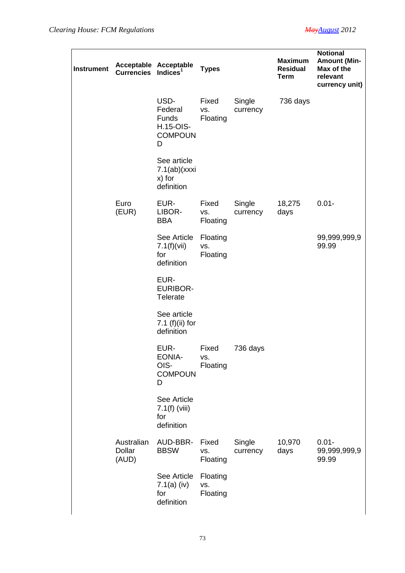| <b>Instrument</b> | Acceptable Acceptable<br>Currencies Indices <sup>1</sup> |                                                                     | <b>Types</b>                |                    | <b>Maximum</b><br><b>Residual</b><br><b>Term</b> | <b>Notional</b><br><b>Amount (Min-</b><br>Max of the<br>relevant<br>currency unit) |
|-------------------|----------------------------------------------------------|---------------------------------------------------------------------|-----------------------------|--------------------|--------------------------------------------------|------------------------------------------------------------------------------------|
|                   |                                                          | USD-<br>Federal<br><b>Funds</b><br>H.15-OIS-<br><b>COMPOUN</b><br>D | Fixed<br>VS.<br>Floating    | Single<br>currency | 736 days                                         |                                                                                    |
|                   |                                                          | See article<br>7.1(ab)(xxxi)<br>x) for<br>definition                |                             |                    |                                                  |                                                                                    |
|                   | Euro<br>(EUR)                                            | EUR-<br>LIBOR-<br><b>BBA</b>                                        | Fixed<br>VS.<br>Floating    | Single<br>currency | 18,275<br>days                                   | $0.01 -$                                                                           |
|                   |                                                          | See Article<br>$7.1(f)(\n$<br>for<br>definition                     | Floating<br>VS.<br>Floating |                    |                                                  | 99,999,999,9<br>99.99                                                              |
|                   |                                                          | EUR-<br><b>EURIBOR-</b><br><b>Telerate</b>                          |                             |                    |                                                  |                                                                                    |
|                   |                                                          | See article<br>7.1 (f)(ii) for<br>definition                        |                             |                    |                                                  |                                                                                    |
|                   |                                                          | EUR-<br><b>EONIA-</b><br>OIS-<br><b>COMPOUN</b><br>D                | Fixed<br>VS.<br>Floating    | 736 days           |                                                  |                                                                                    |
|                   |                                                          | See Article<br>$7.1(f)$ (viii)<br>for<br>definition                 |                             |                    |                                                  |                                                                                    |
|                   | Australian<br>Dollar<br>(AUD)                            | AUD-BBR-<br><b>BBSW</b>                                             | Fixed<br>VS.<br>Floating    | Single<br>currency | 10,970<br>days                                   | $0.01 -$<br>99,999,999,9<br>99.99                                                  |
|                   |                                                          | See Article<br>$7.1(a)$ (iv)<br>for<br>definition                   | Floating<br>VS.<br>Floating |                    |                                                  |                                                                                    |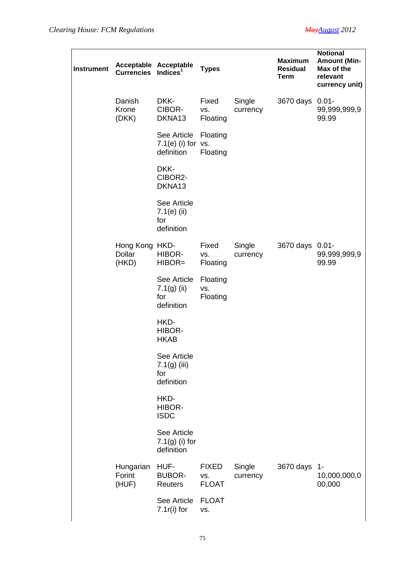| <b>Instrument</b> | Acceptable Acceptable<br><b>Currencies</b> | Indices $1$                                         | <b>Types</b>                        |                    | <b>Maximum</b><br><b>Residual</b><br><b>Term</b> | <b>Notional</b><br><b>Amount (Min-</b><br>Max of the<br>relevant<br>currency unit) |
|-------------------|--------------------------------------------|-----------------------------------------------------|-------------------------------------|--------------------|--------------------------------------------------|------------------------------------------------------------------------------------|
|                   | Danish<br>Krone<br>(DKK)                   | DKK-<br>CIBOR-<br>DKNA13                            | Fixed<br>VS.<br>Floating            | Single<br>currency | 3670 days                                        | $0.01 -$<br>99,999,999,9<br>99.99                                                  |
|                   |                                            | See Article<br>$7.1(e)$ (i) for $vs.$<br>definition | Floating<br>Floating                |                    |                                                  |                                                                                    |
|                   |                                            | DKK-<br>CIBOR2-<br>DKNA13                           |                                     |                    |                                                  |                                                                                    |
|                   |                                            | See Article<br>$7.1(e)$ (ii)<br>for<br>definition   |                                     |                    |                                                  |                                                                                    |
|                   | Hong Kong HKD-<br><b>Dollar</b><br>(HKD)   | HIBOR-<br>HIBOR=                                    | Fixed<br>VS.<br>Floating            | Single<br>currency | 3670 days 0.01-                                  | 99,999,999,9<br>99.99                                                              |
|                   |                                            | See Article<br>$7.1(g)$ (ii)<br>for<br>definition   | Floating<br>VS.<br>Floating         |                    |                                                  |                                                                                    |
|                   |                                            | HKD-<br>HIBOR-<br><b>HKAB</b>                       |                                     |                    |                                                  |                                                                                    |
|                   |                                            | See Article<br>$7.1(g)$ (iii)<br>for<br>definition  |                                     |                    |                                                  |                                                                                    |
|                   |                                            | HKD-<br>HIBOR-<br><b>ISDC</b>                       |                                     |                    |                                                  |                                                                                    |
|                   |                                            | See Article<br>$7.1(g)$ (i) for<br>definition       |                                     |                    |                                                  |                                                                                    |
|                   | Hungarian<br>Forint<br>(HUF)               | HUF-<br><b>BUBOR-</b><br>Reuters                    | <b>FIXED</b><br>VS.<br><b>FLOAT</b> | Single<br>currency | 3670 days                                        | $1-$<br>10,000,000,0<br>00,000                                                     |
|                   |                                            | See Article<br>$7.1r(i)$ for                        | <b>FLOAT</b><br>VS.                 |                    |                                                  |                                                                                    |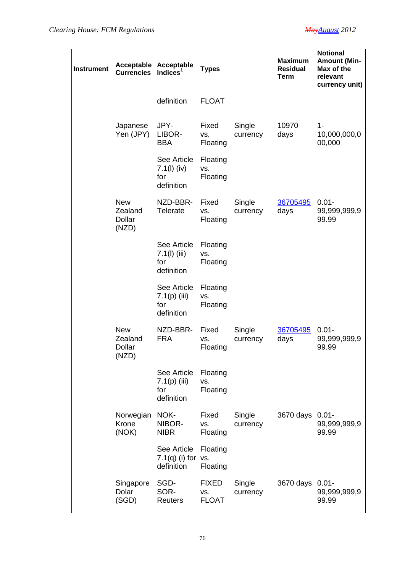| Instrument | Acceptable Acceptable<br><b>Currencies</b>      | Indices $1$                                        | <b>Types</b>                        |                    | <b>Maximum</b><br><b>Residual</b><br><b>Term</b> | <b>Notional</b><br><b>Amount (Min-</b><br>Max of the<br>relevant<br>currency unit) |
|------------|-------------------------------------------------|----------------------------------------------------|-------------------------------------|--------------------|--------------------------------------------------|------------------------------------------------------------------------------------|
|            |                                                 | definition                                         | <b>FLOAT</b>                        |                    |                                                  |                                                                                    |
|            | Japanese<br>Yen (JPY)                           | JPY-<br>LIBOR-<br><b>BBA</b>                       | Fixed<br>VS.<br>Floating            | Single<br>currency | 10970<br>days                                    | 1-<br>10,000,000,0<br>00,000                                                       |
|            |                                                 | See Article<br>$7.1(l)$ (iv)<br>for<br>definition  | Floating<br>VS.<br>Floating         |                    |                                                  |                                                                                    |
|            | <b>New</b><br>Zealand<br><b>Dollar</b><br>(NZD) | NZD-BBR-<br><b>Telerate</b>                        | Fixed<br>VS.<br>Floating            | Single<br>currency | 36705495<br>days                                 | $0.01 -$<br>99,999,999,9<br>99.99                                                  |
|            |                                                 | See Article<br>$7.1(l)$ (iii)<br>for<br>definition | Floating<br>VS.<br>Floating         |                    |                                                  |                                                                                    |
|            |                                                 | See Article<br>$7.1(p)$ (iii)<br>for<br>definition | Floating<br>VS.<br>Floating         |                    |                                                  |                                                                                    |
|            | <b>New</b><br>Zealand<br>Dollar<br>(NZD)        | NZD-BBR-<br><b>FRA</b>                             | Fixed<br>VS.<br>Floating            | Single<br>currency | 36705495<br>days                                 | $0.01 -$<br>99,999,999,9<br>99.99                                                  |
|            |                                                 | See Article<br>$7.1(p)$ (iii)<br>for<br>definition | Floating<br>VS.<br>Floating         |                    |                                                  |                                                                                    |
|            | Norwegian<br>Krone<br>(NOK)                     | NOK-<br>NIBOR-<br><b>NIBR</b>                      | Fixed<br>VS.<br>Floating            | Single<br>currency | 3670 days                                        | $0.01 -$<br>99,999,999,9<br>99.99                                                  |
|            |                                                 | See Article<br>$7.1(q)$ (i) for vs.<br>definition  | Floating<br>Floating                |                    |                                                  |                                                                                    |
|            | Singapore<br>Dolar<br>(SGD)                     | SGD-<br>SOR-<br>Reuters                            | <b>FIXED</b><br>VS.<br><b>FLOAT</b> | Single<br>currency | 3670 days                                        | $0.01 -$<br>99,999,999,9<br>99.99                                                  |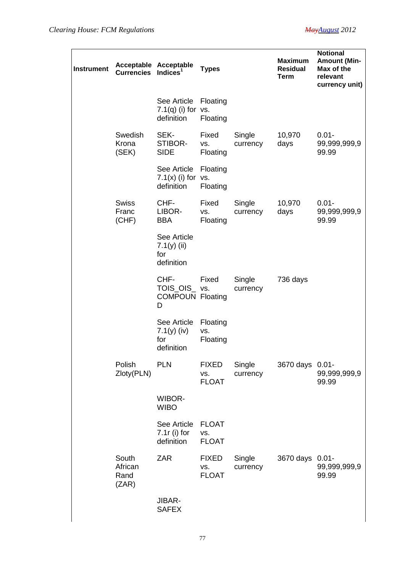| Instrument | Acceptable Acceptable<br><b>Currencies</b> | Indices $1$                                          | <b>Types</b>                        |                    | <b>Maximum</b><br><b>Residual</b><br><b>Term</b> | <b>Notional</b><br><b>Amount (Min-</b><br>Max of the<br>relevant<br>currency unit) |
|------------|--------------------------------------------|------------------------------------------------------|-------------------------------------|--------------------|--------------------------------------------------|------------------------------------------------------------------------------------|
|            |                                            | See Article<br>$7.1(q)$ (i) for vs.<br>definition    | Floating<br>Floating                |                    |                                                  |                                                                                    |
|            | Swedish<br>Krona<br>(SEK)                  | SEK-<br>STIBOR-<br><b>SIDE</b>                       | Fixed<br>VS.<br>Floating            | Single<br>currency | 10,970<br>days                                   | $0.01 -$<br>99,999,999,9<br>99.99                                                  |
|            |                                            | See Article<br>$7.1(x)$ (i) for vs.<br>definition    | Floating<br>Floating                |                    |                                                  |                                                                                    |
|            | <b>Swiss</b><br>Franc<br>(CHF)             | CHF-<br>LIBOR-<br><b>BBA</b>                         | Fixed<br>VS.<br>Floating            | Single<br>currency | 10,970<br>days                                   | $0.01 -$<br>99,999,999,9<br>99.99                                                  |
|            |                                            | See Article<br>7.1 $(y)$ (ii)<br>for<br>definition   |                                     |                    |                                                  |                                                                                    |
|            |                                            | CHF-<br>TOIS_OIS_vs.<br><b>COMPOUN Floating</b><br>D | Fixed                               | Single<br>currency | 736 days                                         |                                                                                    |
|            |                                            | See Article<br>7.1(y) (iv)<br>for<br>definition      | Floating<br>VS.<br>Floating         |                    |                                                  |                                                                                    |
|            | Polish<br>Zloty(PLN)                       | <b>PLN</b>                                           | <b>FIXED</b><br>VS.<br><b>FLOAT</b> | Single<br>currency | 3670 days 0.01-                                  | 99,999,999,9<br>99.99                                                              |
|            |                                            | <b>WIBOR-</b><br><b>WIBO</b>                         |                                     |                    |                                                  |                                                                                    |
|            |                                            | See Article<br>$7.1r$ (i) for<br>definition          | <b>FLOAT</b><br>VS.<br><b>FLOAT</b> |                    |                                                  |                                                                                    |
|            | South<br>African<br>Rand<br>(ZAR)          | <b>ZAR</b>                                           | <b>FIXED</b><br>VS.<br><b>FLOAT</b> | Single<br>currency | 3670 days 0.01-                                  | 99,999,999,9<br>99.99                                                              |
|            |                                            | JIBAR-<br><b>SAFEX</b>                               |                                     |                    |                                                  |                                                                                    |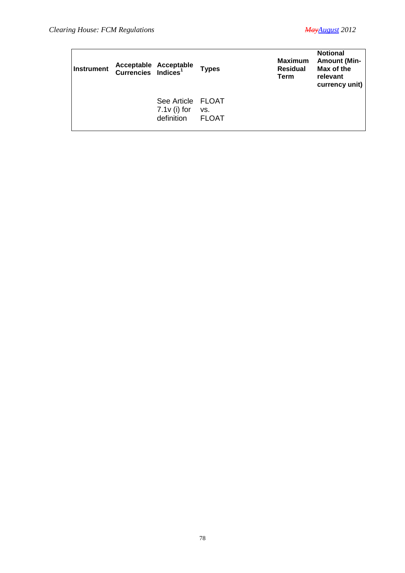| <b>Instrument</b> | Acceptable Acceptable<br>Currencies Indices <sup>1</sup> | <b>Types</b>        | <b>Maximum</b><br><b>Residual</b><br><b>Term</b> | <b>Notional</b><br><b>Amount (Min-</b><br>Max of the<br>relevant<br>currency unit) |
|-------------------|----------------------------------------------------------|---------------------|--------------------------------------------------|------------------------------------------------------------------------------------|
|                   | See Article FLOAT<br>$7.1v$ (i) for<br>definition        | VS.<br><b>FLOAT</b> |                                                  |                                                                                    |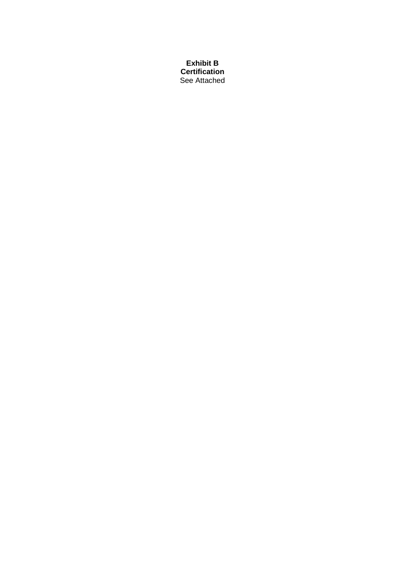**Exhibit B Certification** See Attached